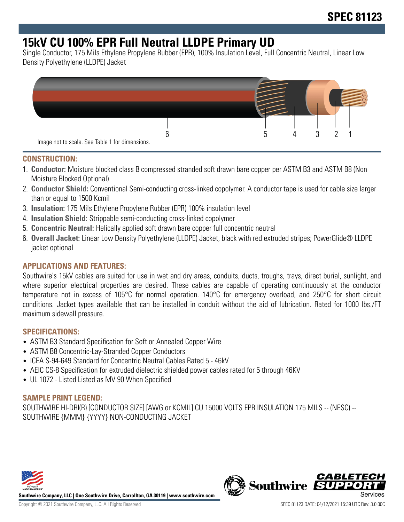# **15kV CU 100% EPR Full Neutral LLDPE Primary UD**

Single Conductor, 175 Mils Ethylene Propylene Rubber (EPR), 100% Insulation Level, Full Concentric Neutral, Linear Low Density Polyethylene (LLDPE) Jacket



#### **CONSTRUCTION:**

- 1. **Conductor:** Moisture blocked class B compressed stranded soft drawn bare copper per ASTM B3 and ASTM B8 (Non Moisture Blocked Optional)
- 2. **Conductor Shield:** Conventional Semi-conducting cross-linked copolymer. A conductor tape is used for cable size larger than or equal to 1500 Kcmil
- 3. **Insulation:** 175 Mils Ethylene Propylene Rubber (EPR) 100% insulation level
- 4. **Insulation Shield:** Strippable semi-conducting cross-linked copolymer
- 5. **Concentric Neutral:** Helically applied soft drawn bare copper full concentric neutral
- 6. **Overall Jacket:** Linear Low Density Polyethylene (LLDPE) Jacket, black with red extruded stripes; PowerGlide® LLDPE jacket optional

# **APPLICATIONS AND FEATURES:**

Southwire's 15kV cables are suited for use in wet and dry areas, conduits, ducts, troughs, trays, direct burial, sunlight, and where superior electrical properties are desired. These cables are capable of operating continuously at the conductor temperature not in excess of 105°C for normal operation. 140°C for emergency overload, and 250°C for short circuit conditions. Jacket types available that can be installed in conduit without the aid of lubrication. Rated for 1000 lbs./FT maximum sidewall pressure.

#### **SPECIFICATIONS:**

- ASTM B3 Standard Specification for Soft or Annealed Copper Wire
- ASTM B8 Concentric-Lay-Stranded Copper Conductors
- ICEA S-94-649 Standard for Concentric Neutral Cables Rated 5 46kV
- AEIC CS-8 Specification for extruded dielectric shielded power cables rated for 5 through 46KV
- UL 1072 Listed Listed as MV 90 When Specified

#### **SAMPLE PRINT LEGEND:**

SOUTHWIRE HI-DRI(R) [CONDUCTOR SIZE] [AWG or KCMIL] CU 15000 VOLTS EPR INSULATION 175 MILS -- (NESC) -- SOUTHWIRE {MMM} {YYYY} NON-CONDUCTING JACKET



**Southwire Company, LLC | One Southwire Drive, Carrollton, GA 30119 | www.southwire.com**

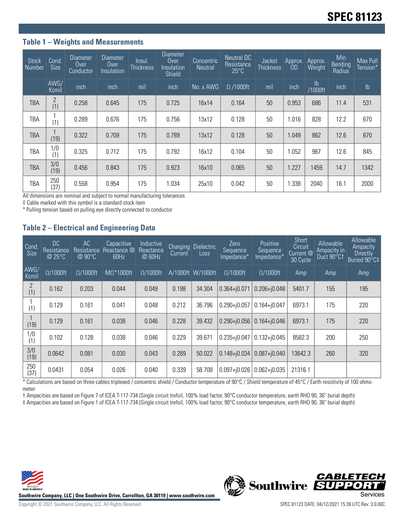#### **Table 1 – Weights and Measurements**

| <b>Stock</b><br>Number | Cond.<br><b>Size</b>  | Diameter<br>Over<br>Conductor | Diameter<br>Over<br>Insulation | Insul.<br><b>Thickness</b> | Diameter<br>Over<br>Insulation<br>Shield | Concentric<br><b>Neutral</b> | Neutral DC<br>Resistance<br>$25^{\circ}$ C | Jacket<br><b>Thickness</b> | Approx.<br>0D | Approx.<br>Weight        | Min<br>Bending<br>Radius | Max Pull<br>Tension* |
|------------------------|-----------------------|-------------------------------|--------------------------------|----------------------------|------------------------------------------|------------------------------|--------------------------------------------|----------------------------|---------------|--------------------------|--------------------------|----------------------|
|                        | AWG/<br>Kcmil         | inch                          | inch                           | mil                        | inch                                     | No. x AWG                    | $\Omega$ /1000ft                           | mil                        | inch          | $\mathsf{lb}$<br>/1000ft | inch                     | $\mathsf{lb}$        |
| TBA                    | $\overline{2}$<br>(1) | 0.258                         | 0.645                          | 175                        | 0.725                                    | 16x14                        | 0.164                                      | 50                         | 0.953         | 686                      | 11.4                     | 531                  |
| TBA                    | (1)                   | 0.289                         | 0.676                          | 175                        | 0.756                                    | 13x12                        | 0.128                                      | 50                         | 1.016         | 828                      | 12.2                     | 670                  |
| TBA                    | (19)                  | 0.322                         | 0.709                          | 175                        | 0.789                                    | 13x12                        | 0.128                                      | 50                         | 1.049         | 862                      | 12.6                     | 670                  |
| TBA                    | 1/0<br>(1)            | 0.325                         | 0.712                          | 175                        | 0.792                                    | 16x12                        | 0.104                                      | 50                         | 1.052         | 967                      | 12.6                     | 845                  |
| <b>TBA</b>             | 3/0<br>(19)           | 0.456                         | 0.843                          | 175                        | 0.923                                    | 16x10                        | 0.065                                      | 50                         | 1.227         | 1459                     | 14.7                     | 1342                 |
| TBA                    | 250<br>(37)           | 0.558                         | 0.954                          | 175                        | 1.034                                    | 25x10                        | 0.042                                      | 50                         | 1.338         | 2040                     | 16.1                     | 2000                 |

All dimensions are nominal and subject to normal manufacturing tolerances

◊ Cable marked with this symbol is a standard stock item

\* Pulling tension based on pulling eye directly connected to conductor

# **Table 2 – Electrical and Engineering Data**

| Cond<br><b>Size</b> | DC<br><b>Resistance</b><br>@ 25°C | AC<br>Resistance<br>$@90^{\circ}C$ | Capacitive<br>Reactance @<br>60Hz | Inductive<br>Reactance<br>@ 60Hz | <b>Charging</b><br>Current | <b>Dielectric</b><br>Loss | Zero<br>Sequence<br>Impedance* | Positive<br>Sequence<br>Impedance* | Short<br>Circuit<br>Current @<br>30 Cycle | <b>Allowable</b><br>Ampacity in<br>Duct 90°C1 | Allowable<br>Ampacity<br>Directly<br>Buried 90°C‡ |
|---------------------|-----------------------------------|------------------------------------|-----------------------------------|----------------------------------|----------------------------|---------------------------|--------------------------------|------------------------------------|-------------------------------------------|-----------------------------------------------|---------------------------------------------------|
| AWG/<br>Kcmil       | $\Omega/1000$ ft                  | $\Omega/1000$ ft                   | $M\Omega^*1000$ ft                | $\Omega/1000$ ft                 |                            | A/1000ft W/1000ft         | $\Omega/1000$ ft               | $\Omega/1000$ ft                   | Amp                                       | Amp                                           | Amp                                               |
| 2<br>(1)            | 0.162                             | 0.203                              | 0.044                             | 0.049                            | 0.198                      | 34.304                    | $0.364 + 0.071$                | $0.206 + j0.048$                   | 5401.7                                    | 155                                           | 195                                               |
| (1)                 | 0.129                             | 0.161                              | 0.041                             | 0.048                            | 0.212                      | 36.796                    | $0.290 + i0.057$               | $0.164 + j0.047$                   | 6973.1                                    | 175                                           | 220                                               |
| (19)                | 0.129                             | 0.161                              | 0.038                             | 0.046                            | 0.228                      | 39.432                    | $0.290 + 0.056$                | $0.164 + 0.046$                    | 6973.1                                    | 175                                           | 220                                               |
| 1/0<br>(1)          | 0.102                             | 0.128                              | 0.038                             | 0.046                            | 0.229                      | 39.671                    | $0.235 + j0.047$               | $0.132 + j0.045$                   | 8582.3                                    | 200                                           | 250                                               |
| 3/0<br>(19)         | 0.0642                            | 0.081                              | 0.030                             | 0.043                            | 0.289                      | 50.022                    | $0.148 + 0.034$                | $0.087 + 0.040$                    | 13642.3                                   | 260                                           | 320                                               |
| 250<br>(37)         | 0.0431                            | 0.054                              | 0.026                             | 0.040                            | 0.339                      | 58.708                    | $0.097 + 0.026$                | $0.062 + 0.035$                    | 21316.1                                   |                                               |                                                   |

\* Calculations are based on three cables triplexed / concentric shield / Conductor temperature of 90°C / Shield temperature of 45°C / Earth resistivity of 100 ohmsmeter

† Ampacities are based on Figure 7 of ICEA T-117-734 (Single circuit trefoil, 100% load factor, 90°C conductor temperature, earth RHO 90, 36" burial depth)

‡ Ampacities are based on Figure 1 of ICEA T-117-734 (Single circuit trefoil, 100% load factor, 90°C conductor temperature, earth RHO 90, 36" burial depth)